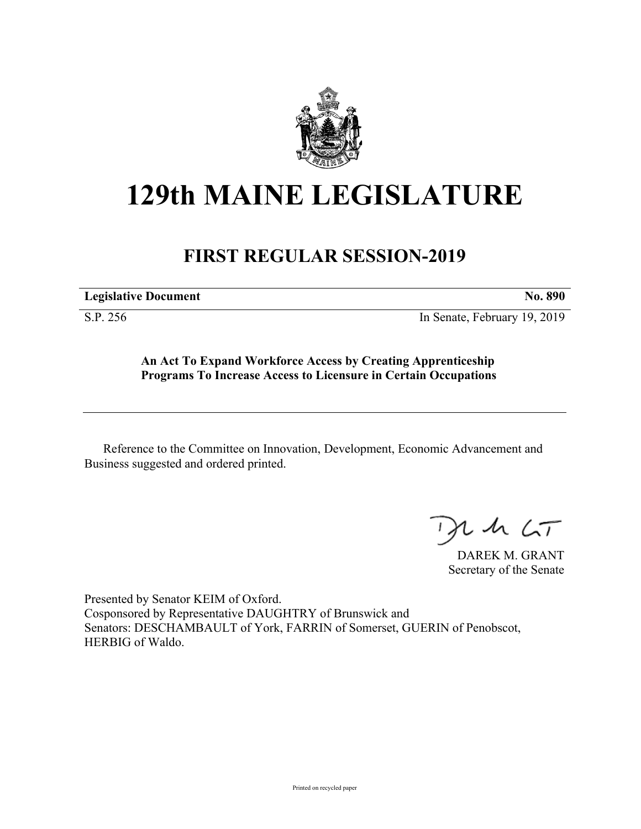

## **129th MAINE LEGISLATURE**

## **FIRST REGULAR SESSION-2019**

**Legislative Document No. 890**

S.P. 256 In Senate, February 19, 2019

**An Act To Expand Workforce Access by Creating Apprenticeship Programs To Increase Access to Licensure in Certain Occupations**

Reference to the Committee on Innovation, Development, Economic Advancement and Business suggested and ordered printed.

 $125$ 

DAREK M. GRANT Secretary of the Senate

Presented by Senator KEIM of Oxford. Cosponsored by Representative DAUGHTRY of Brunswick and Senators: DESCHAMBAULT of York, FARRIN of Somerset, GUERIN of Penobscot, HERBIG of Waldo.